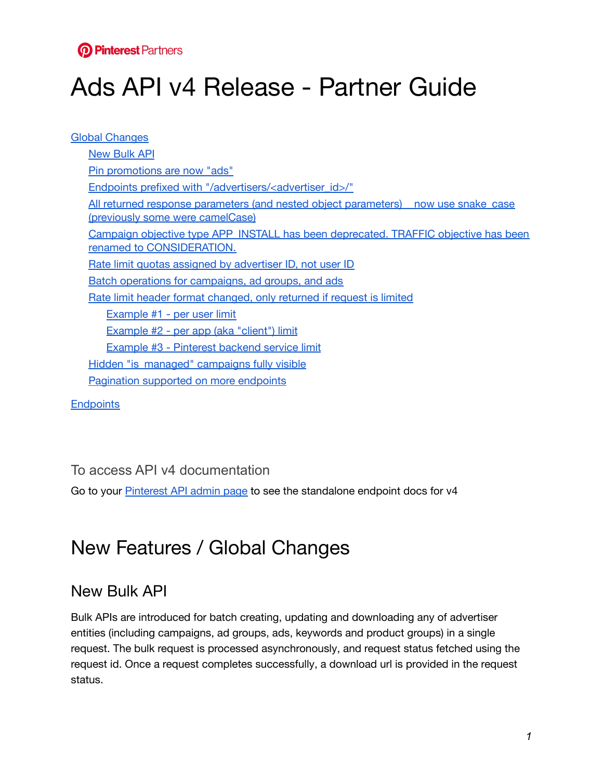

# Ads API v4 Release - Partner Guide

Global [Changes](#page-0-0) [New](#page-0-1) Bulk API Pin [promotions](#page-1-0) are now "ads" Endpoints prefixed with ["/advertisers/<advertiser\\_id>/"](#page-1-1) All returned response parameters (and nested object [parameters\)](#page-1-2) now use snake case (previously some were [camelCase\)](#page-1-2) Campaign objective type [APP\\_INSTALL](#page-2-0) has been deprecated. TRAFFIC objective has been renamed to [CONSIDERATION.](#page-2-0) Rate limit quotas assigned by [advertiser](#page-2-1) ID, not user ID Batch operations for [campaigns,](#page-2-2) ad groups, and ads Rate limit header format [changed,](#page-3-0) only returned if request is limited [Example](#page-4-0) #1 - per user limit [Example](#page-4-1) #2 - per app (aka "client") limit Example #3 - [Pinterest](#page-4-2) backend service limit Hidden ["is\\_managed"](#page-5-0) campaigns fully visible [Pagination](#page-5-1) supported on more endpoints

**[Endpoints](#page-5-2)** 

#### To access API v4 documentation

Go to your [Pinterest](https://developers.pinterest.com/manage/) API admin page to see the standalone endpoint docs for v4

# <span id="page-0-0"></span>New Features / Global Changes

#### <span id="page-0-1"></span>New Bulk API

Bulk APIs are introduced for batch creating, updating and downloading any of advertiser entities (including campaigns, ad groups, ads, keywords and product groups) in a single request. The bulk request is processed asynchronously, and request status fetched using the request id. Once a request completes successfully, a download url is provided in the request status.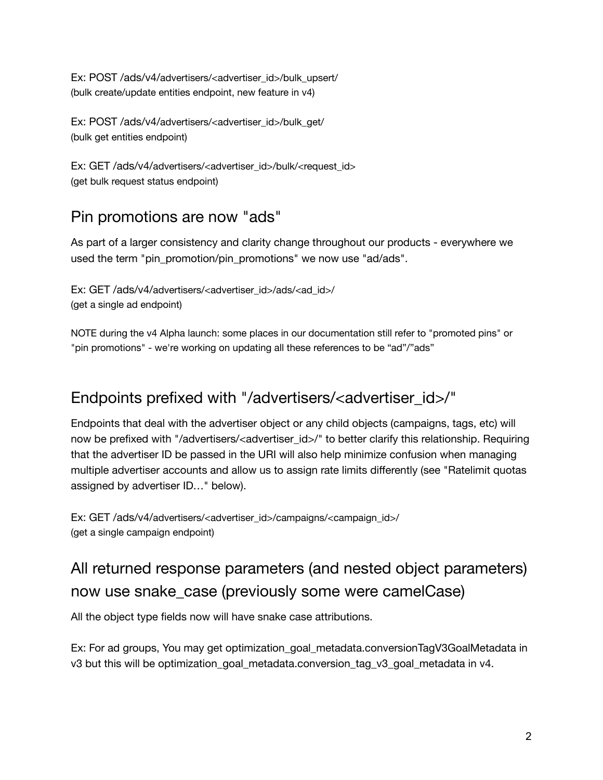Ex: POST /ads/v4/advertisers/<advertiser\_id>/bulk\_upsert/ (bulk create/update entities endpoint, new feature in v4)

Ex: POST /ads/v4/advertisers/<advertiser\_id>/bulk\_get/ (bulk get entities endpoint)

Ex: GET /ads/v4/advertisers/<advertiser\_id>/bulk/<request\_id> (get bulk request status endpoint)

## <span id="page-1-0"></span>Pin promotions are now "ads"

As part of a larger consistency and clarity change throughout our products - everywhere we used the term "pin\_promotion/pin\_promotions" we now use "ad/ads".

Ex: GET /ads/v4/advertisers/<advertiser\_id>/ads/<ad\_id>/ (get a single ad endpoint)

NOTE during the v4 Alpha launch: some places in our documentation still refer to "promoted pins" or "pin promotions" - we're working on updating all these references to be "ad"/"ads"

#### <span id="page-1-1"></span>Endpoints prefixed with "/advertisers/<advertiser\_id>/"

Endpoints that deal with the advertiser object or any child objects (campaigns, tags, etc) will now be prefixed with "/advertisers/<advertiser\_id>/" to better clarify this relationship. Requiring that the advertiser ID be passed in the URI will also help minimize confusion when managing multiple advertiser accounts and allow us to assign rate limits differently (see "Ratelimit quotas assigned by advertiser ID…" below).

Ex: GET /ads/v4/advertisers/<advertiser\_id>/campaigns/<campaign\_id>/ (get a single campaign endpoint)

## <span id="page-1-2"></span>All returned response parameters (and nested object parameters) now use snake\_case (previously some were camelCase)

All the object type fields now will have snake case attributions.

Ex: For ad groups, You may get optimization\_goal\_metadata.conversionTagV3GoalMetadata in v3 but this will be optimization goal metadata.conversion tag v3 goal metadata in v4.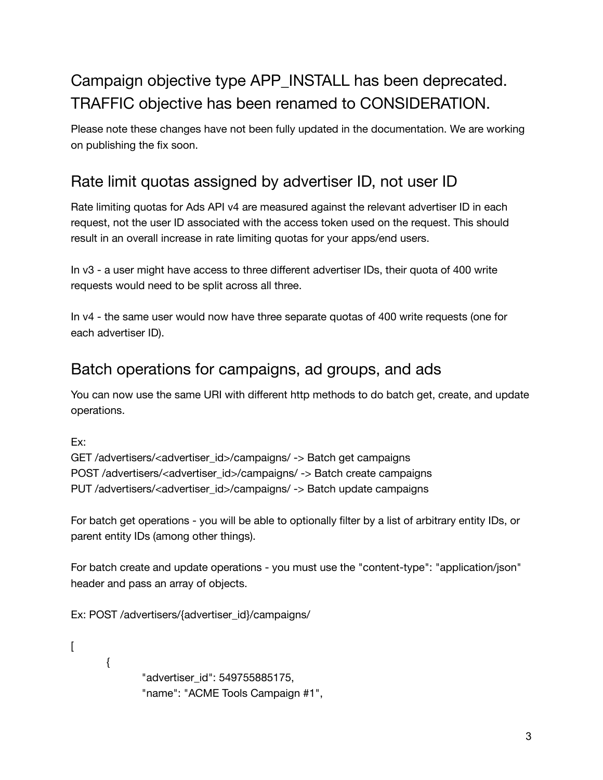## <span id="page-2-0"></span>Campaign objective type APP INSTALL has been deprecated. TRAFFIC objective has been renamed to CONSIDERATION.

Please note these changes have not been fully updated in the documentation. We are working on publishing the fix soon.

## <span id="page-2-1"></span>Rate limit quotas assigned by advertiser ID, not user ID

Rate limiting quotas for Ads API v4 are measured against the relevant advertiser ID in each request, not the user ID associated with the access token used on the request. This should result in an overall increase in rate limiting quotas for your apps/end users.

In v3 - a user might have access to three different advertiser IDs, their quota of 400 write requests would need to be split across all three.

In v4 - the same user would now have three separate quotas of 400 write requests (one for each advertiser ID).

#### <span id="page-2-2"></span>Batch operations for campaigns, ad groups, and ads

You can now use the same URI with different http methods to do batch get, create, and update operations.

Ex:

```
GET /advertisers/<advertiser_id>/campaigns/ -> Batch get campaigns
POST /advertisers/<advertiser_id>/campaigns/ -> Batch create campaigns
PUT /advertisers/<advertiser_id>/campaigns/ -> Batch update campaigns
```
For batch get operations - you will be able to optionally filter by a list of arbitrary entity IDs, or parent entity IDs (among other things).

For batch create and update operations - you must use the "content-type": "application/json" header and pass an array of objects.

Ex: POST /advertisers/{advertiser\_id}/campaigns/

 $\lceil$  $\{$ "advertiser\_id": 549755885175, "name": "ACME Tools Campaign #1",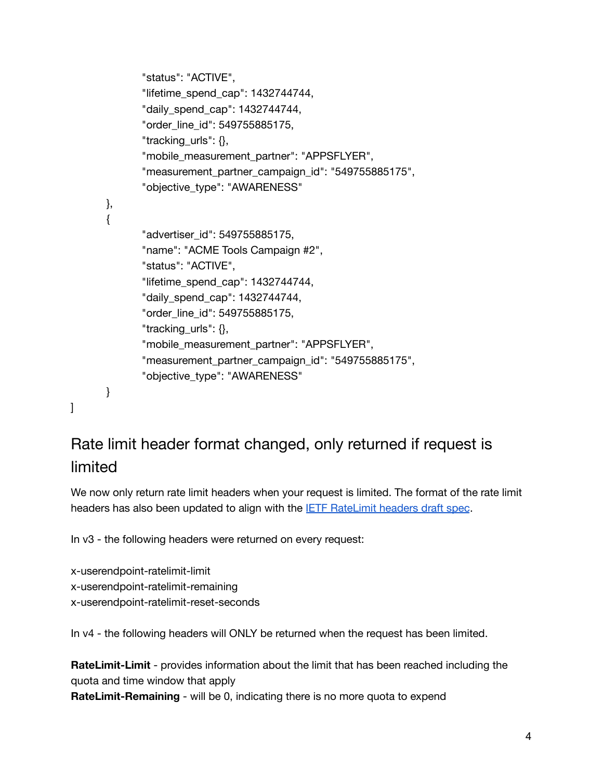```
"status": "ACTIVE",
       "lifetime_spend_cap": 1432744744,
       "daily spend cap": 1432744744,
       ○ "order_line_id": 549755885175,
       "tracking_urls": {},
       "mobile_measurement_partner": "APPSFLYER",
       "measurement_partner_campaign_id": "549755885175",
       "objective_type": "AWARENESS"
● },
\{"advertiser_id": 549755885175,
       "name": "ACME Tools Campaign #2",
       "status": "ACTIVE",
       "lifetime_spend_cap": 1432744744,
       "daily_spend_cap": 1432744744,
       ○ "order_line_id": 549755885175,
       "tracking_urls": \{\},\"mobile_measurement_partner": "APPSFLYER",
       "measurement partner campaign id": "549755885175",
       "objective_type": "AWARENESS"
\}
```

```
]
```
## <span id="page-3-0"></span>Rate limit header format changed, only returned if request is limited

We now only return rate limit headers when your request is limited. The format of the rate limit headers has also been updated to align with the **IETF [RateLimit](https://github.com/ietf-wg-httpapi/ratelimit-headers) headers draft spec**.

In v3 - the following headers were returned on every request:

x-userendpoint-ratelimit-limit x-userendpoint-ratelimit-remaining x-userendpoint-ratelimit-reset-seconds

In v4 - the following headers will ONLY be returned when the request has been limited.

**RateLimit-Limit** - provides information about the limit that has been reached including the quota and time window that apply

**RateLimit-Remaining** - will be 0, indicating there is no more quota to expend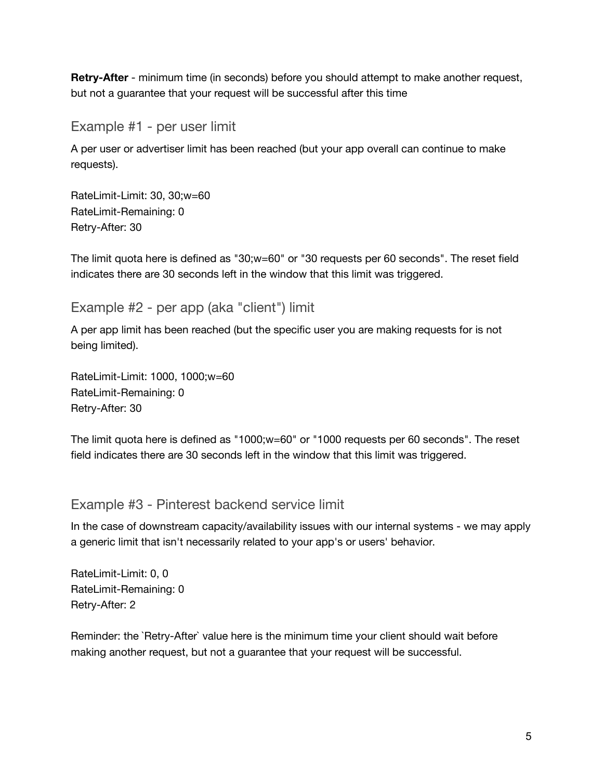**Retry-After** - minimum time (in seconds) before you should attempt to make another request, but not a guarantee that your request will be successful after this time

<span id="page-4-0"></span>Example #1 - per user limit

A per user or advertiser limit has been reached (but your app overall can continue to make requests).

RateLimit-Limit: 30, 30;w=60 RateLimit-Remaining: 0 Retry-After: 30

The limit quota here is defined as "30;w=60" or "30 requests per 60 seconds". The reset field indicates there are 30 seconds left in the window that this limit was triggered.

#### <span id="page-4-1"></span>Example #2 - per app (aka "client") limit

A per app limit has been reached (but the specific user you are making requests for is not being limited).

RateLimit-Limit: 1000, 1000;w=60 RateLimit-Remaining: 0 Retry-After: 30

The limit quota here is defined as "1000;w=60" or "1000 requests per 60 seconds". The reset field indicates there are 30 seconds left in the window that this limit was triggered.

#### <span id="page-4-2"></span>Example #3 - Pinterest backend service limit

In the case of downstream capacity/availability issues with our internal systems - we may apply a generic limit that isn't necessarily related to your app's or users' behavior.

RateLimit-Limit: 0, 0 RateLimit-Remaining: 0 Retry-After: 2

Reminder: the `Retry-After` value here is the minimum time your client should wait before making another request, but not a guarantee that your request will be successful.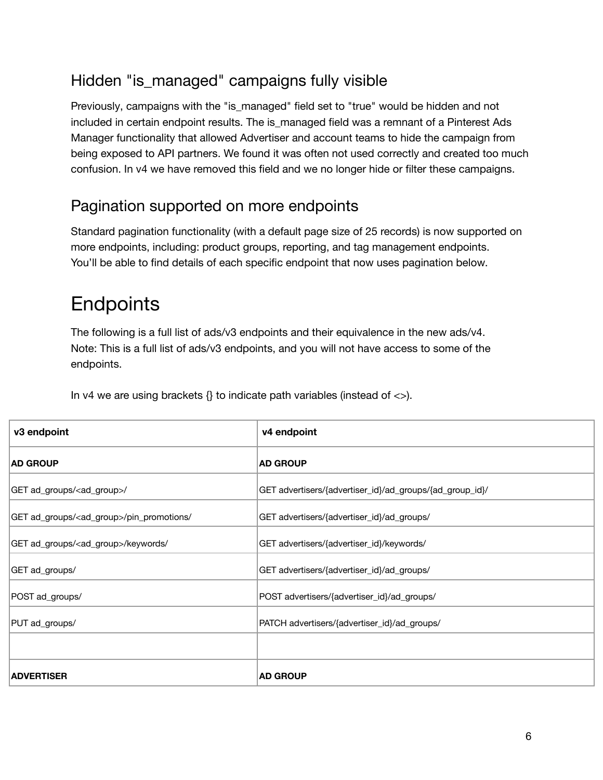## <span id="page-5-0"></span>Hidden "is\_managed" campaigns fully visible

Previously, campaigns with the "is\_managed" field set to "true" would be hidden and not included in certain endpoint results. The is\_managed field was a remnant of a Pinterest Ads Manager functionality that allowed Advertiser and account teams to hide the campaign from being exposed to API partners. We found it was often not used correctly and created too much confusion. In v4 we have removed this field and we no longer hide or filter these campaigns.

#### <span id="page-5-1"></span>Pagination supported on more endpoints

Standard pagination functionality (with a default page size of 25 records) is now supported on more endpoints, including: product groups, reporting, and tag management endpoints. You'll be able to find details of each specific endpoint that now uses pagination below.

# <span id="page-5-2"></span>**Endpoints**

The following is a full list of ads/v3 endpoints and their equivalence in the new ads/v4. Note: This is a full list of ads/v3 endpoints, and you will not have access to some of the endpoints.

In v4 we are using brackets  $\{\}$  to indicate path variables (instead of  $\langle \rangle$ ).

| v3 endpoint                                          | v4 endpoint                                              |
|------------------------------------------------------|----------------------------------------------------------|
| <b>AD GROUP</b>                                      | <b>AD GROUP</b>                                          |
| GET ad_groups/ <ad_group>/</ad_group>                | GET advertisers/{advertiser_id}/ad_groups/{ad_group_id}/ |
| GET ad_groups/ <ad_group>/pin_promotions/</ad_group> | GET advertisers/{advertiser_id}/ad_groups/               |
| GET ad_groups/ <ad_group>/keywords/</ad_group>       | GET advertisers/{advertiser_id}/keywords/                |
| GET ad_groups/                                       | GET advertisers/{advertiser_id}/ad_groups/               |
| POST ad_groups/                                      | POST advertisers/{advertiser_id}/ad_groups/              |
| PUT ad_groups/                                       | PATCH advertisers/{advertiser_id}/ad_groups/             |
|                                                      |                                                          |
| <b>ADVERTISER</b>                                    | <b>AD GROUP</b>                                          |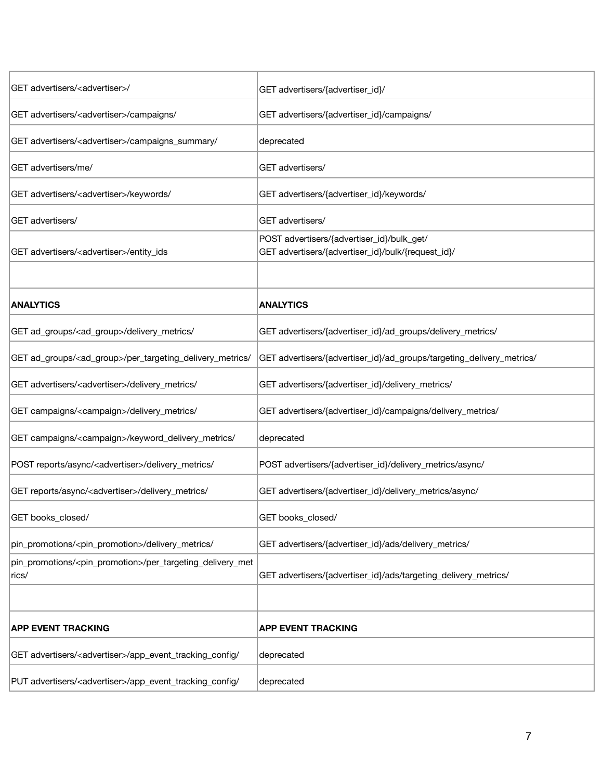| GET advertisers/ <advertiser>/</advertiser>                                          | GET advertisers/{advertiser_id}/                                                                 |
|--------------------------------------------------------------------------------------|--------------------------------------------------------------------------------------------------|
| GET advertisers/ <advertiser>/campaigns/</advertiser>                                | GET advertisers/{advertiser_id}/campaigns/                                                       |
| GET advertisers/ <advertiser>/campaigns_summary/</advertiser>                        | deprecated                                                                                       |
| GET advertisers/me/                                                                  | GET advertisers/                                                                                 |
| GET advertisers/ <advertiser>/keywords/</advertiser>                                 | GET advertisers/{advertiser_id}/keywords/                                                        |
| GET advertisers/                                                                     | GET advertisers/                                                                                 |
| GET advertisers/ <advertiser>/entity_ids</advertiser>                                | POST advertisers/{advertiser_id}/bulk_get/<br>GET advertisers/{advertiser_id}/bulk/{request_id}/ |
|                                                                                      |                                                                                                  |
| <b>ANALYTICS</b>                                                                     | <b>ANALYTICS</b>                                                                                 |
| GET ad_groups/ <ad_group>/delivery_metrics/</ad_group>                               | GET advertisers/{advertiser_id}/ad_groups/delivery_metrics/                                      |
| GET ad_groups/ <ad_group>/per_targeting_delivery_metrics/</ad_group>                 | GET advertisers/{advertiser_id}/ad_groups/targeting_delivery_metrics/                            |
| GET advertisers/ <advertiser>/delivery_metrics/</advertiser>                         | GET advertisers/{advertiser_id}/delivery_metrics/                                                |
| GET campaigns/ <campaign>/delivery_metrics/</campaign>                               | GET advertisers/{advertiser_id}/campaigns/delivery_metrics/                                      |
| GET campaigns/ <campaign>/keyword_delivery_metrics/</campaign>                       | deprecated                                                                                       |
| POST reports/async/ <advertiser>/delivery_metrics/</advertiser>                      | POST advertisers/{advertiser_id}/delivery_metrics/async/                                         |
| GET reports/async/ <advertiser>/delivery_metrics/</advertiser>                       | GET advertisers/{advertiser_id}/delivery_metrics/async/                                          |
| GET books_closed/                                                                    | GET books_closed/                                                                                |
| pin_promotions/ <pin_promotion>/delivery_metrics/</pin_promotion>                    | GET advertisers/{advertiser_id}/ads/delivery_metrics/                                            |
| pin_promotions/ <pin_promotion>/per_targeting_delivery_met<br/>rics/</pin_promotion> | GET advertisers/{advertiser_id}/ads/targeting_delivery_metrics/                                  |
|                                                                                      |                                                                                                  |
| <b>APP EVENT TRACKING</b>                                                            | <b>APP EVENT TRACKING</b>                                                                        |
| GET advertisers/ <advertiser>/app_event_tracking_config/</advertiser>                | deprecated                                                                                       |
| PUT advertisers/ <advertiser>/app_event_tracking_config/</advertiser>                | deprecated                                                                                       |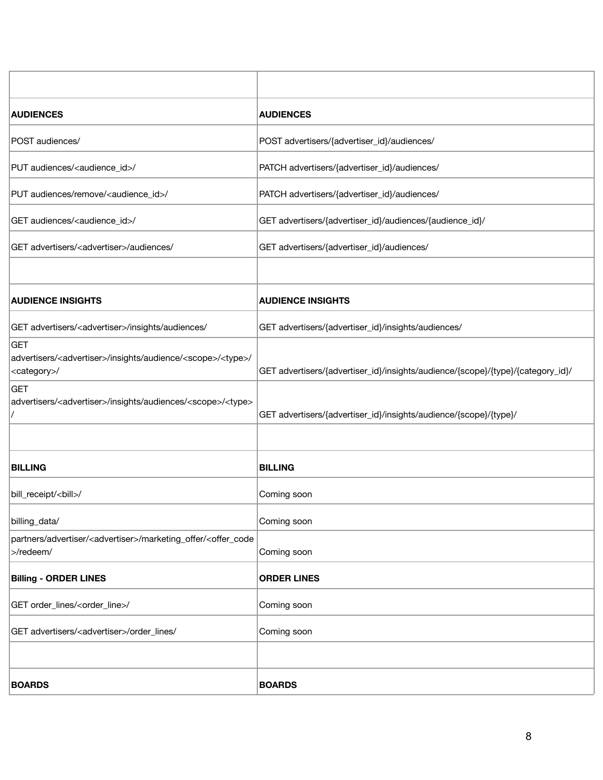| <b>AUDIENCES</b>                                                                                                                 | <b>AUDIENCES</b>                                                                |
|----------------------------------------------------------------------------------------------------------------------------------|---------------------------------------------------------------------------------|
| POST audiences/                                                                                                                  | POST advertisers/{advertiser_id}/audiences/                                     |
| PUT audiences/ <audience_id>/</audience_id>                                                                                      | PATCH advertisers/{advertiser_id}/audiences/                                    |
| PUT audiences/remove/ <audience_id>/</audience_id>                                                                               | PATCH advertisers/{advertiser_id}/audiences/                                    |
| GET audiences/ <audience_id>/</audience_id>                                                                                      | GET advertisers/{advertiser_id}/audiences/{audience_id}/                        |
| GET advertisers/ <advertiser>/audiences/</advertiser>                                                                            | GET advertisers/{advertiser_id}/audiences/                                      |
|                                                                                                                                  |                                                                                 |
| <b>AUDIENCE INSIGHTS</b>                                                                                                         | <b>AUDIENCE INSIGHTS</b>                                                        |
| GET advertisers/ <advertiser>/insights/audiences/</advertiser>                                                                   | GET advertisers/{advertiser_id}/insights/audiences/                             |
| <b>GET</b><br>advertisers/ <advertiser>/insights/audience/<scope>/<type>/<br/><category>/</category></type></scope></advertiser> | GET advertisers/{advertiser_id}/insights/audience/{scope}/{type}/{category_id}/ |
| <b>GET</b><br>advertisers/ <advertiser>/insights/audiences/<scope>/<type></type></scope></advertiser>                            | GET advertisers/{advertiser_id}/insights/audience/{scope}/{type}/               |
|                                                                                                                                  |                                                                                 |
| <b>BILLING</b>                                                                                                                   | <b>BILLING</b>                                                                  |
| bill_receipt/ <bill>/</bill>                                                                                                     | Coming soon                                                                     |
| billing_data/                                                                                                                    | Coming soon                                                                     |
| partners/advertiser/ <advertiser>/marketing_offer/<offer_code<br>&gt;/redeem/</offer_code<br></advertiser>                       | Coming soon                                                                     |
| <b>Billing - ORDER LINES</b>                                                                                                     | <b>ORDER LINES</b>                                                              |
| GET order_lines/ <order_line>/</order_line>                                                                                      | Coming soon                                                                     |
| GET advertisers/ <advertiser>/order_lines/</advertiser>                                                                          | Coming soon                                                                     |
|                                                                                                                                  |                                                                                 |
| <b>BOARDS</b>                                                                                                                    | <b>BOARDS</b>                                                                   |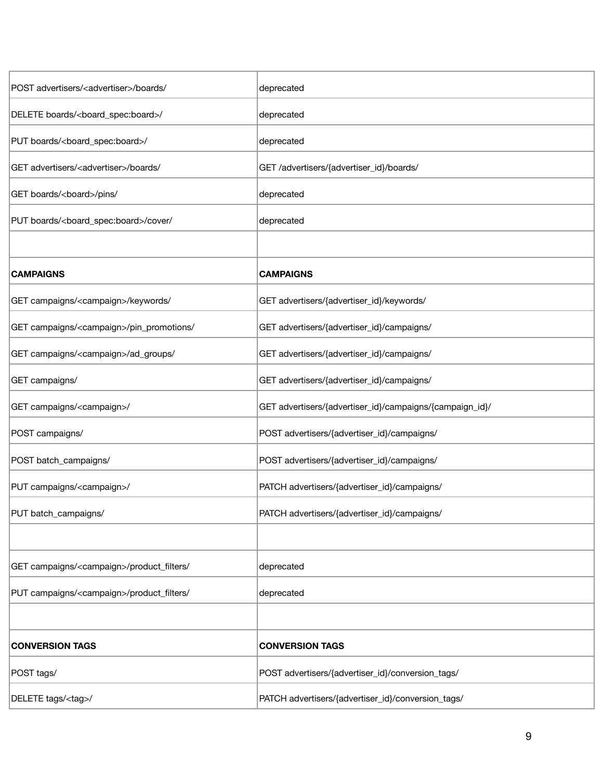| POST advertisers/ <advertiser>/boards/</advertiser>      | deprecated                                               |
|----------------------------------------------------------|----------------------------------------------------------|
| DELETE boards/ <board_spec:board>/</board_spec:board>    | deprecated                                               |
| PUT boards/ <board_spec:board>/</board_spec:board>       | deprecated                                               |
| GET advertisers/ <advertiser>/boards/</advertiser>       | GET /advertisers/{advertiser_id}/boards/                 |
| GET boards/ <board>/pins/</board>                        | deprecated                                               |
| PUT boards/ <board_spec:board>/cover/</board_spec:board> | deprecated                                               |
|                                                          |                                                          |
| <b>CAMPAIGNS</b>                                         | <b>CAMPAIGNS</b>                                         |
| GET campaigns/ <campaign>/keywords/</campaign>           | GET advertisers/{advertiser_id}/keywords/                |
| GET campaigns/ <campaign>/pin_promotions/</campaign>     | GET advertisers/{advertiser_id}/campaigns/               |
| GET campaigns/ <campaign>/ad_groups/</campaign>          | GET advertisers/{advertiser_id}/campaigns/               |
| GET campaigns/                                           | GET advertisers/{advertiser_id}/campaigns/               |
| GET campaigns/ <campaign>/</campaign>                    | GET advertisers/{advertiser_id}/campaigns/{campaign_id}/ |
| POST campaigns/                                          | POST advertisers/{advertiser_id}/campaigns/              |
| POST batch_campaigns/                                    | POST advertisers/{advertiser_id}/campaigns/              |
| PUT campaigns/ <campaign>/</campaign>                    | PATCH advertisers/{advertiser_id}/campaigns/             |
| PUT batch_campaigns/                                     | PATCH advertisers/{advertiser_id}/campaigns/             |
|                                                          |                                                          |
| GET campaigns/ <campaign>/product_filters/</campaign>    | deprecated                                               |
| PUT campaigns/ <campaign>/product_filters/</campaign>    | deprecated                                               |
|                                                          |                                                          |
| <b>CONVERSION TAGS</b>                                   | <b>CONVERSION TAGS</b>                                   |
| POST tags/                                               | POST advertisers/{advertiser_id}/conversion_tags/        |
| DELETE tags/ <tag>/</tag>                                | PATCH advertisers/{advertiser_id}/conversion_tags/       |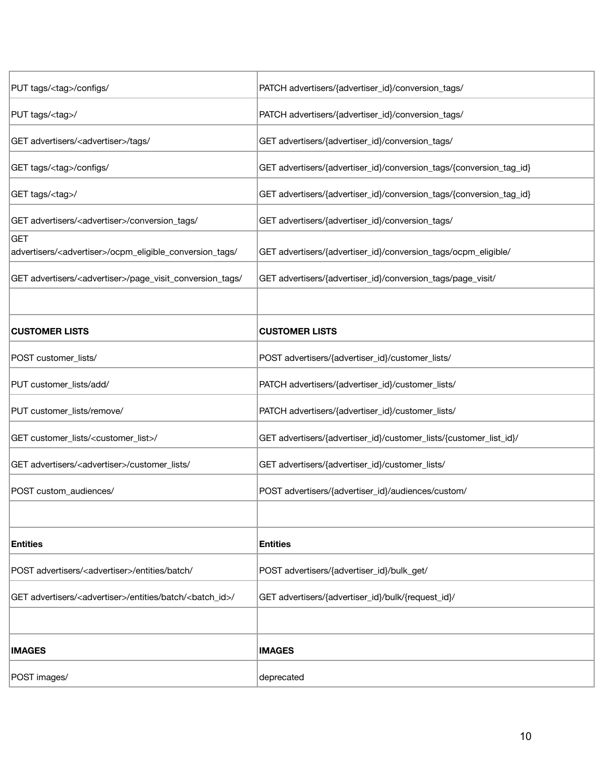| PUT tags/ <tag>/configs/</tag>                                                   | PATCH advertisers/{advertiser_id}/conversion_tags/                  |
|----------------------------------------------------------------------------------|---------------------------------------------------------------------|
| PUT tags/ <tag>/</tag>                                                           | PATCH advertisers/{advertiser_id}/conversion_tags/                  |
| GET advertisers/ <advertiser>/tags/</advertiser>                                 | GET advertisers/{advertiser_id}/conversion_tags/                    |
| GET tags/ <tag>/configs/</tag>                                                   | GET advertisers/{advertiser_id}/conversion_tags/{conversion_tag_id} |
| GET tags/ <tag>/</tag>                                                           | GET advertisers/{advertiser_id}/conversion_tags/{conversion_tag_id} |
| GET advertisers/ <advertiser>/conversion_tags/</advertiser>                      | GET advertisers/{advertiser_id}/conversion_tags/                    |
| GET<br>advertisers/ <advertiser>/ocpm_eligible_conversion_tags/</advertiser>     | GET advertisers/{advertiser_id}/conversion_tags/ocpm_eligible/      |
| GET advertisers/ <advertiser>/page_visit_conversion_tags/</advertiser>           | GET advertisers/{advertiser_id}/conversion_tags/page_visit/         |
|                                                                                  |                                                                     |
| <b>CUSTOMER LISTS</b>                                                            | <b>CUSTOMER LISTS</b>                                               |
| POST customer_lists/                                                             | POST advertisers/{advertiser_id}/customer_lists/                    |
| PUT customer_lists/add/                                                          | PATCH advertisers/{advertiser_id}/customer_lists/                   |
| PUT customer_lists/remove/                                                       | PATCH advertisers/{advertiser_id}/customer_lists/                   |
| GET customer_lists/ <customer_list>/</customer_list>                             | GET advertisers/{advertiser_id}/customer_lists/{customer_list_id}/  |
| GET advertisers/ <advertiser>/customer_lists/</advertiser>                       | GET advertisers/{advertiser_id}/customer_lists/                     |
| POST custom_audiences/                                                           | POST advertisers/{advertiser_id}/audiences/custom/                  |
|                                                                                  |                                                                     |
| <b>Entities</b>                                                                  | <b>Entities</b>                                                     |
| POST advertisers/ <advertiser>/entities/batch/</advertiser>                      | POST advertisers/{advertiser_id}/bulk_get/                          |
| GET advertisers/ <advertiser>/entities/batch/<batch_id>/</batch_id></advertiser> | GET advertisers/{advertiser_id}/bulk/{request_id}/                  |
|                                                                                  |                                                                     |
| <b>IMAGES</b>                                                                    | <b>IMAGES</b>                                                       |
| POST images/                                                                     | deprecated                                                          |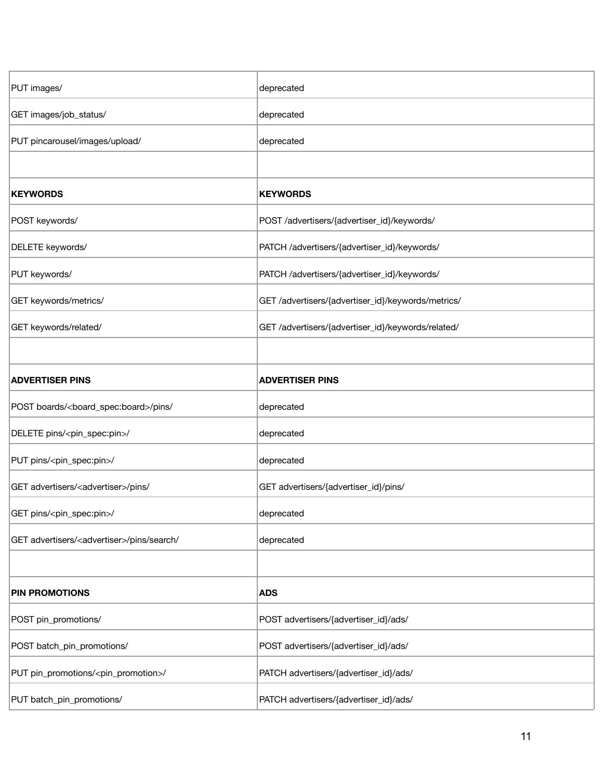| PUT images/                                              | deprecated                                         |
|----------------------------------------------------------|----------------------------------------------------|
| GET images/job_status/                                   | deprecated                                         |
| PUT pincarousel/images/upload/                           | deprecated                                         |
|                                                          |                                                    |
| <b>KEYWORDS</b>                                          | <b>KEYWORDS</b>                                    |
| POST keywords/                                           | POST /advertisers/{advertiser_id}/keywords/        |
| DELETE keywords/                                         | PATCH /advertisers/{advertiser_id}/keywords/       |
| PUT keywords/                                            | PATCH /advertisers/{advertiser_id}/keywords/       |
| GET keywords/metrics/                                    | GET /advertisers/{advertiser_id}/keywords/metrics/ |
| GET keywords/related/                                    | GET /advertisers/{advertiser_id}/keywords/related/ |
|                                                          |                                                    |
| <b>ADVERTISER PINS</b>                                   | <b>ADVERTISER PINS</b>                             |
| POST boards/ <board_spec:board>/pins/</board_spec:board> | deprecated                                         |
| DELETE pins/ <pin_spec:pin>/</pin_spec:pin>              | deprecated                                         |
| PUT pins/ <pin_spec:pin>/</pin_spec:pin>                 | deprecated                                         |
| GET advertisers/ <advertiser>/pins/</advertiser>         | GET advertisers/{advertiser_id}/pins/              |
| GET pins/ <pin_spec:pin>/</pin_spec:pin>                 | deprecated                                         |
| GET advertisers/ <advertiser>/pins/search/</advertiser>  | deprecated                                         |
|                                                          |                                                    |
| <b>PIN PROMOTIONS</b>                                    | <b>ADS</b>                                         |
| POST pin_promotions/                                     | POST advertisers/{advertiser_id}/ads/              |
| POST batch_pin_promotions/                               | POST advertisers/{advertiser_id}/ads/              |
| PUT pin_promotions/ <pin_promotion>/</pin_promotion>     | PATCH advertisers/{advertiser_id}/ads/             |
| PUT batch_pin_promotions/                                | PATCH advertisers/{advertiser_id}/ads/             |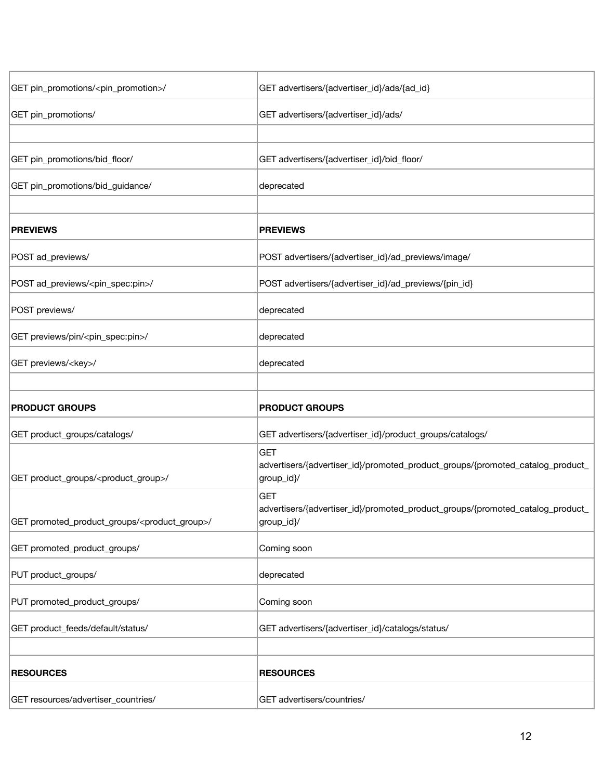| GET pin_promotions/ <pin_promotion>/</pin_promotion>          | GET advertisers/{advertiser_id}/ads/{ad_id}                                                                |
|---------------------------------------------------------------|------------------------------------------------------------------------------------------------------------|
| GET pin_promotions/                                           | GET advertisers/{advertiser_id}/ads/                                                                       |
|                                                               |                                                                                                            |
| GET pin_promotions/bid_floor/                                 | GET advertisers/{advertiser_id}/bid_floor/                                                                 |
| GET pin_promotions/bid_guidance/                              | deprecated                                                                                                 |
|                                                               |                                                                                                            |
| <b>PREVIEWS</b>                                               | <b>PREVIEWS</b>                                                                                            |
| POST ad_previews/                                             | POST advertisers/{advertiser_id}/ad_previews/image/                                                        |
| POST ad_previews/ <pin_spec:pin>/</pin_spec:pin>              | POST advertisers/{advertiser_id}/ad_previews/{pin_id}                                                      |
| POST previews/                                                | deprecated                                                                                                 |
| GET previews/pin/ <pin_spec:pin>/</pin_spec:pin>              | deprecated                                                                                                 |
| GET previews/ <key>/</key>                                    | deprecated                                                                                                 |
|                                                               |                                                                                                            |
| <b>PRODUCT GROUPS</b>                                         | <b>PRODUCT GROUPS</b>                                                                                      |
| GET product_groups/catalogs/                                  | GET advertisers/{advertiser_id}/product_groups/catalogs/                                                   |
| GET product_groups/ <product_group>/</product_group>          | <b>GET</b><br>advertisers/{advertiser_id}/promoted_product_groups/{promoted_catalog_product_<br>group_id}/ |
| GET promoted_product_groups/ <product_group>/</product_group> | <b>GET</b><br>advertisers/{advertiser_id}/promoted_product_groups/{promoted_catalog_product_<br>group_id}/ |
| GET promoted_product_groups/                                  | Coming soon                                                                                                |
| PUT product_groups/                                           | deprecated                                                                                                 |
| PUT promoted_product_groups/                                  |                                                                                                            |
|                                                               | Coming soon                                                                                                |
| GET product_feeds/default/status/                             | GET advertisers/{advertiser_id}/catalogs/status/                                                           |
|                                                               |                                                                                                            |
| <b>RESOURCES</b>                                              | <b>RESOURCES</b>                                                                                           |